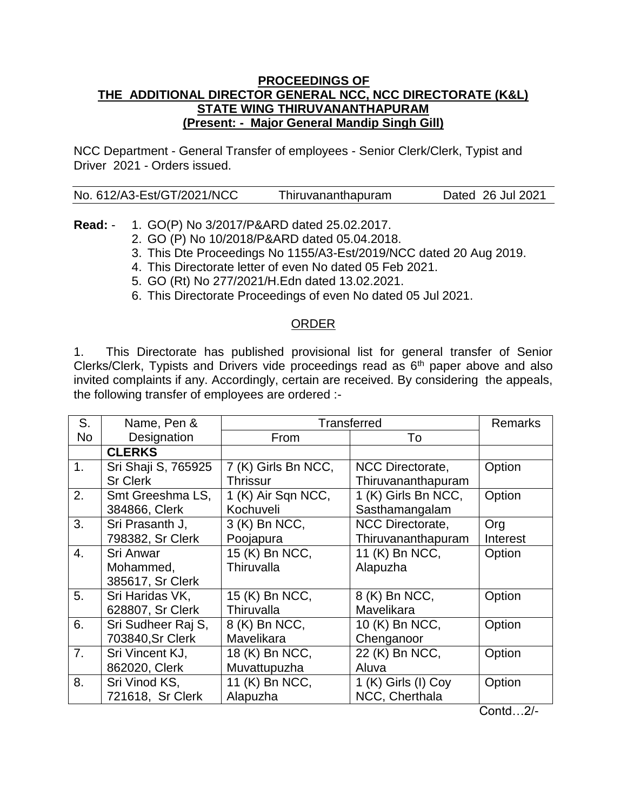## **PROCEEDINGS OF THE ADDITIONAL DIRECTOR GENERAL NCC, NCC DIRECTORATE (K&L) STATE WING THIRUVANANTHAPURAM (Present: - Major General Mandip Singh Gill)**

NCC Department - General Transfer of employees - Senior Clerk/Clerk, Typist and Driver 2021 - Orders issued.

| No. 612/A3-Est/GT/2021/NCC | Thiruvananthapuram | Dated 26 Jul 2021 |
|----------------------------|--------------------|-------------------|
|                            |                    |                   |

**Read:** - 1. GO(P) No 3/2017/P&ARD dated 25.02.2017.

- 2. GO (P) No 10/2018/P&ARD dated 05.04.2018.
- 3. This Dte Proceedings No 1155/A3-Est/2019/NCC dated 20 Aug 2019.
- 4. This Directorate letter of even No dated 05 Feb 2021.
- 5. GO (Rt) No 277/2021/H.Edn dated 13.02.2021.
- 6. This Directorate Proceedings of even No dated 05 Jul 2021.

## ORDER

1. This Directorate has published provisional list for general transfer of Senior Clerks/Clerk, Typists and Drivers vide proceedings read as  $6<sup>th</sup>$  paper above and also invited complaints if any. Accordingly, certain are received. By considering the appeals, the following transfer of employees are ordered :-

| S.               | Name, Pen &         | Transferred         |                     | <b>Remarks</b> |
|------------------|---------------------|---------------------|---------------------|----------------|
| No               | Designation         | From                | To                  |                |
|                  | <b>CLERKS</b>       |                     |                     |                |
| 1.               | Sri Shaji S, 765925 | 7 (K) Girls Bn NCC, | NCC Directorate,    | Option         |
|                  | <b>Sr Clerk</b>     | <b>Thrissur</b>     | Thiruvananthapuram  |                |
| 2.               | Smt Greeshma LS,    | 1 (K) Air Sqn NCC,  | 1 (K) Girls Bn NCC, | Option         |
|                  | 384866, Clerk       | Kochuveli           | Sasthamangalam      |                |
| 3.               | Sri Prasanth J,     | 3 (K) Bn NCC,       | NCC Directorate,    | Org            |
|                  | 798382, Sr Clerk    | Poojapura           | Thiruvananthapuram  | Interest       |
| $\overline{4}$ . | Sri Anwar           | 15 (K) Bn NCC,      | 11 (K) Bn NCC,      | Option         |
|                  | Mohammed,           | Thiruvalla          | Alapuzha            |                |
|                  | 385617, Sr Clerk    |                     |                     |                |
| 5.               | Sri Haridas VK,     | 15 (K) Bn NCC,      | 8 (K) Bn NCC,       | Option         |
|                  | 628807, Sr Clerk    | Thiruvalla          | Mavelikara          |                |
| 6.               | Sri Sudheer Raj S,  | 8 (K) Bn NCC,       | 10 (K) Bn NCC,      | Option         |
|                  | 703840, Sr Clerk    | Mavelikara          | Chenganoor          |                |
| 7 <sub>1</sub>   | Sri Vincent KJ,     | 18 (K) Bn NCC,      | 22 (K) Bn NCC,      | Option         |
|                  | 862020, Clerk       | Muvattupuzha        | Aluva               |                |
| 8.               | Sri Vinod KS,       | 11 (K) Bn NCC,      | 1 (K) Girls (I) Coy | Option         |
|                  | 721618, Sr Clerk    | Alapuzha            | NCC, Cherthala      |                |

Contd…2/-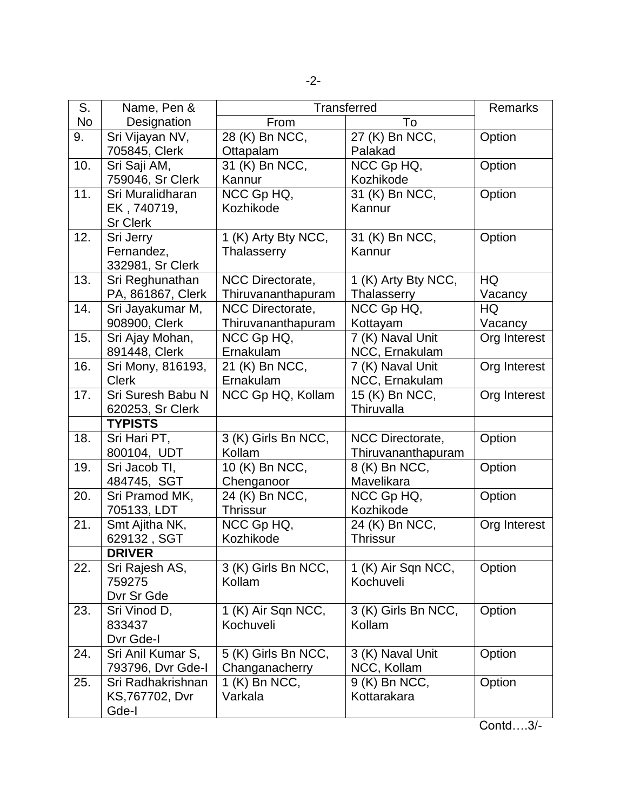| S.        | Name, Pen &       | <b>Transferred</b>             |                     | Remarks      |
|-----------|-------------------|--------------------------------|---------------------|--------------|
| <b>No</b> | Designation       | To<br>From                     |                     |              |
| 9.        | Sri Vijayan NV,   | 28 (K) Bn NCC,                 | 27 (K) Bn NCC,      | Option       |
|           | 705845, Clerk     | Ottapalam                      | Palakad             |              |
| 10.       | Sri Saji AM,      | 31 (K) Bn NCC,                 | NCC Gp HQ,          | Option       |
|           | 759046, Sr Clerk  | Kannur                         | Kozhikode           |              |
| 11.       | Sri Muralidharan  | $\overline{\text{NCC}}$ Gp HQ, | 31 (K) Bn NCC,      | Option       |
|           | EK, 740719,       | Kozhikode                      | Kannur              |              |
|           | <b>Sr Clerk</b>   |                                |                     |              |
| 12.       | Sri Jerry         | 1 (K) Arty Bty NCC,            | 31 (K) Bn NCC,      | Option       |
|           | Fernandez,        | Thalasserry                    | Kannur              |              |
|           | 332981, Sr Clerk  |                                |                     |              |
| 13.       | Sri Reghunathan   | <b>NCC Directorate,</b>        | 1 (K) Arty Bty NCC, | HQ           |
|           | PA, 861867, Clerk | Thiruvananthapuram             | Thalasserry         | Vacancy      |
| 14.       | Sri Jayakumar M,  | NCC Directorate,               | NCC Gp HQ,          | HQ           |
|           | 908900, Clerk     | Thiruvananthapuram             | Kottayam            | Vacancy      |
| 15.       | Sri Ajay Mohan,   | NCC Gp HQ,                     | 7 (K) Naval Unit    | Org Interest |
|           | 891448, Clerk     | Ernakulam                      | NCC, Ernakulam      |              |
| 16.       | Sri Mony, 816193, | 21 (K) Bn NCC,                 | 7 (K) Naval Unit    | Org Interest |
|           | <b>Clerk</b>      | Ernakulam                      | NCC, Ernakulam      |              |
| 17.       | Sri Suresh Babu N | NCC Gp HQ, Kollam              | 15 (K) Bn NCC,      | Org Interest |
|           | 620253, Sr Clerk  |                                | Thiruvalla          |              |
|           | <b>TYPISTS</b>    |                                |                     |              |
| 18.       | Sri Hari PT,      | 3 (K) Girls Bn NCC,            | NCC Directorate,    | Option       |
|           | 800104, UDT       | Kollam                         | Thiruvananthapuram  |              |
| 19.       | Sri Jacob TI,     | 10 (K) Bn NCC,                 | 8 (K) Bn NCC,       | Option       |
|           | 484745, SGT       | Chenganoor                     | Mavelikara          |              |
| 20.       | Sri Pramod MK,    | 24 (K) Bn NCC,                 | NCC Gp HQ,          | Option       |
|           | 705133, LDT       | <b>Thrissur</b>                | Kozhikode           |              |
| 21.       | Smt Ajitha NK,    | NCC Gp HQ,                     | 24 (K) Bn NCC,      | Org Interest |
|           | 629132, SGT       | Kozhikode                      | <b>Thrissur</b>     |              |
|           | <b>DRIVER</b>     |                                |                     |              |
| 22.       | Sri Rajesh AS,    | 3 (K) Girls Bn NCC,            | 1 (K) Air Sqn NCC,  | Option       |
|           | 759275            | Kollam                         | Kochuveli           |              |
|           | Dvr Sr Gde        |                                |                     |              |
| 23.       | Sri Vinod D,      | 1 (K) Air Sqn NCC,             | 3 (K) Girls Bn NCC, | Option       |
|           | 833437            | Kochuveli                      | Kollam              |              |
|           | Dvr Gde-I         |                                |                     |              |
| 24.       | Sri Anil Kumar S, | 5 (K) Girls Bn NCC,            | 3 (K) Naval Unit    | Option       |
|           | 793796, Dvr Gde-I | Changanacherry                 | NCC, Kollam         |              |
| 25.       | Sri Radhakrishnan | 1 (K) Bn NCC,                  | 9 (K) Bn NCC,       | Option       |
|           | KS, 767702, Dvr   | Varkala                        | Kottarakara         |              |
|           | Gde-I             |                                |                     |              |

Contd….3/-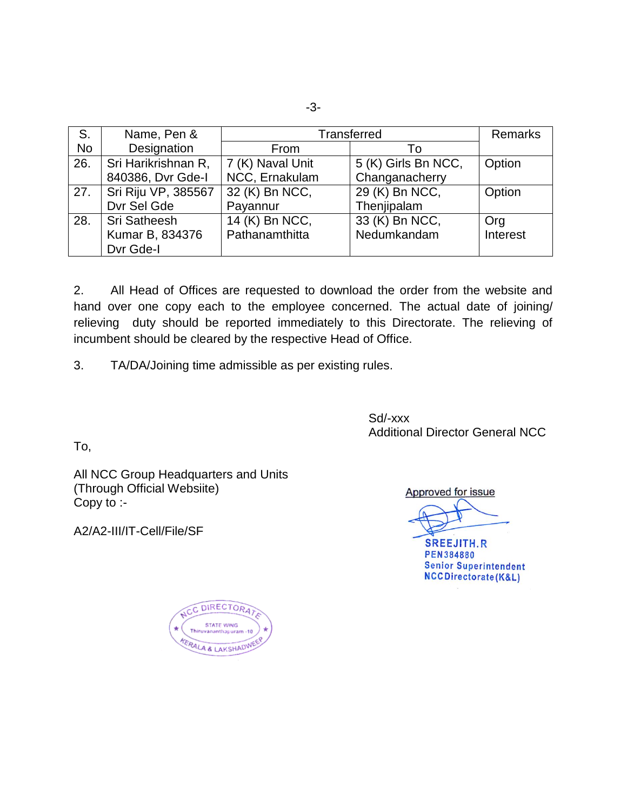| S.        | Name, Pen &         | <b>Transferred</b> |                     | Remarks  |
|-----------|---------------------|--------------------|---------------------|----------|
| <b>No</b> | Designation         | From               | To                  |          |
| 26.       | Sri Harikrishnan R, | 7 (K) Naval Unit   | 5 (K) Girls Bn NCC, | Option   |
|           | 840386, Dvr Gde-I   | NCC, Ernakulam     | Changanacherry      |          |
| 27.       | Sri Riju VP, 385567 | 32 (K) Bn NCC,     | 29 (K) Bn NCC,      | Option   |
|           | Dvr Sel Gde         | Payannur           | Thenjipalam         |          |
| 28.       | Sri Satheesh        | 14 (K) Bn NCC,     | 33 (K) Bn NCC,      | Org      |
|           | Kumar B, 834376     | Pathanamthitta     | Nedumkandam         | Interest |
|           | Dvr Gde-I           |                    |                     |          |

2. All Head of Offices are requested to download the order from the website and hand over one copy each to the employee concerned. The actual date of joining/ relieving duty should be reported immediately to this Directorate. The relieving of incumbent should be cleared by the respective Head of Office.

3. TA/DA/Joining time admissible as per existing rules.

Sd/-xxx Additional Director General NCC

To,

All NCC Group Headquarters and Units (Through Official Websiite) Copy to :-

A2/A2-III/IT-Cell/File/SF

Approved for issue

**SREEJITH.R PEN384880 Senior Superintendent** NCCDirectorate(K&L)

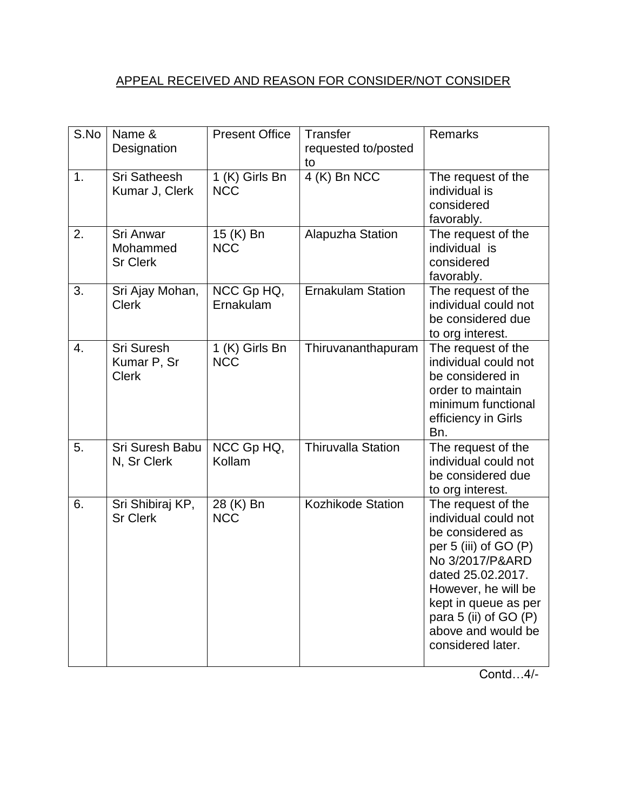## APPEAL RECEIVED AND REASON FOR CONSIDER/NOT CONSIDER

| S.No | Name &<br>Designation                     | <b>Present Office</b>        | Transfer<br>requested to/posted<br>to | Remarks                                                                                                                                                                                                                                            |
|------|-------------------------------------------|------------------------------|---------------------------------------|----------------------------------------------------------------------------------------------------------------------------------------------------------------------------------------------------------------------------------------------------|
| 1.   | <b>Sri Satheesh</b><br>Kumar J, Clerk     | 1 (K) Girls Bn<br><b>NCC</b> | 4 (K) Bn NCC                          | The request of the<br>individual is<br>considered<br>favorably.                                                                                                                                                                                    |
| 2.   | Sri Anwar<br>Mohammed<br><b>Sr Clerk</b>  | 15 (K) Bn<br><b>NCC</b>      | Alapuzha Station                      | The request of the<br>individual is<br>considered<br>favorably.                                                                                                                                                                                    |
| 3.   | Sri Ajay Mohan,<br><b>Clerk</b>           | NCC Gp HQ,<br>Ernakulam      | <b>Ernakulam Station</b>              | The request of the<br>individual could not<br>be considered due<br>to org interest.                                                                                                                                                                |
| 4.   | Sri Suresh<br>Kumar P, Sr<br><b>Clerk</b> | 1 (K) Girls Bn<br><b>NCC</b> | Thiruvananthapuram                    | The request of the<br>individual could not<br>be considered in<br>order to maintain<br>minimum functional<br>efficiency in Girls<br>Bn.                                                                                                            |
| 5.   | Sri Suresh Babu<br>N, Sr Clerk            | NCC Gp HQ,<br>Kollam         | <b>Thiruvalla Station</b>             | The request of the<br>individual could not<br>be considered due<br>to org interest.                                                                                                                                                                |
| 6.   | Sri Shibiraj KP,<br><b>Sr Clerk</b>       | 28 (K) Bn<br><b>NCC</b>      | <b>Kozhikode Station</b>              | The request of the<br>individual could not<br>be considered as<br>per 5 (iii) of GO (P)<br>No 3/2017/P&ARD<br>dated 25.02.2017.<br>However, he will be<br>kept in queue as per<br>para 5 (ii) of GO (P)<br>above and would be<br>considered later. |

Contd…4/-